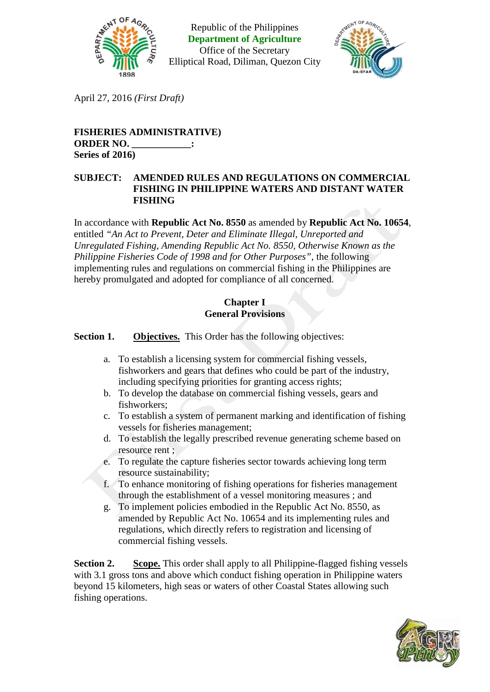

Republic of the Philippines **Department of Agriculture** Office of the Secretary Elliptical Road, Diliman, Quezon City



April 27, 2016 *(First Draft)*

# **FISHERIES ADMINISTRATIVE) ORDER NO. \_\_\_\_\_\_\_\_\_\_\_\_: Series of 2016)**

## **SUBJECT: AMENDED RULES AND REGULATIONS ON COMMERCIAL FISHING IN PHILIPPINE WATERS AND DISTANT WATER FISHING**

In accordance with **Republic Act No. 8550** as amended by **Republic Act No. 10654**, entitled *"An Act to Prevent, Deter and Eliminate Illegal, Unreported and Unregulated Fishing, Amending Republic Act No. 8550, Otherwise Known as the Philippine Fisheries Code of 1998 and for Other Purposes"*, the following implementing rules and regulations on commercial fishing in the Philippines are hereby promulgated and adopted for compliance of all concerned.

## **Chapter I General Provisions**

**Section 1. Objectives.** This Order has the following objectives:

- a. To establish a licensing system for commercial fishing vessels, fishworkers and gears that defines who could be part of the industry, including specifying priorities for granting access rights;
- b. To develop the database on commercial fishing vessels, gears and fishworkers;
- c. To establish a system of permanent marking and identification of fishing vessels for fisheries management;
- d. To establish the legally prescribed revenue generating scheme based on resource rent ;
- e. To regulate the capture fisheries sector towards achieving long term resource sustainability;
- f. To enhance monitoring of fishing operations for fisheries management through the establishment of a vessel monitoring measures ; and
- g. To implement policies embodied in the Republic Act No. 8550, as amended by Republic Act No. 10654 and its implementing rules and regulations, which directly refers to registration and licensing of commercial fishing vessels.

**Section 2. Scope.** This order shall apply to all Philippine-flagged fishing vessels with 3.1 gross tons and above which conduct fishing operation in Philippine waters beyond 15 kilometers, high seas or waters of other Coastal States allowing such fishing operations.

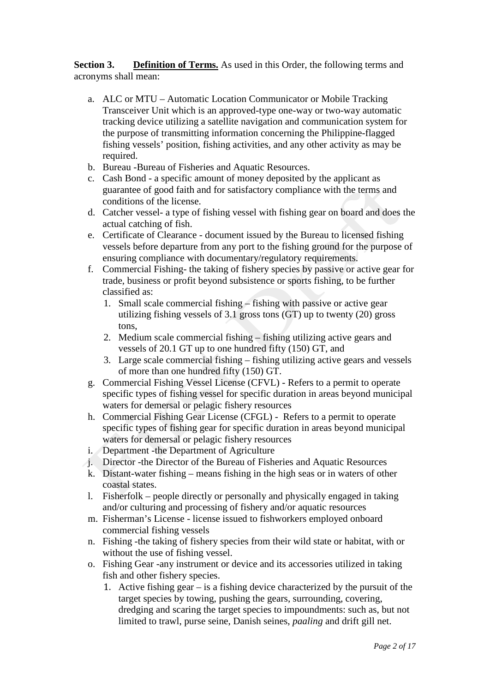**Section 3. Definition of Terms.** As used in this Order, the following terms and acronyms shall mean:

- a. ALC or MTU Automatic Location Communicator or Mobile Tracking Transceiver Unit which is an approved-type one-way or two-way automatic tracking device utilizing a satellite navigation and communication system for the purpose of transmitting information concerning the Philippine-flagged fishing vessels' position, fishing activities, and any other activity as may be required.
- b. Bureau -Bureau of Fisheries and Aquatic Resources.
- c. Cash Bond a specific amount of money deposited by the applicant as guarantee of good faith and for satisfactory compliance with the terms and conditions of the license.
- d. Catcher vessel- a type of fishing vessel with fishing gear on board and does the actual catching of fish.
- e. Certificate of Clearance document issued by the Bureau to licensed fishing vessels before departure from any port to the fishing ground for the purpose of ensuring compliance with documentary/regulatory requirements.
- f. Commercial Fishing- the taking of fishery species by passive or active gear for trade, business or profit beyond subsistence or sports fishing, to be further classified as:
	- 1. Small scale commercial fishing fishing with passive or active gear utilizing fishing vessels of  $3.1$  gross tons (GT) up to twenty (20) gross tons,
	- 2. Medium scale commercial fishing fishing utilizing active gears and vessels of 20.1 GT up to one hundred fifty (150) GT, and
	- 3. Large scale commercial fishing fishing utilizing active gears and vessels of more than one hundred fifty (150) GT.
- g. Commercial Fishing Vessel License (CFVL) Refers to a permit to operate specific types of fishing vessel for specific duration in areas beyond municipal waters for demersal or pelagic fishery resources
- h. Commercial Fishing Gear License (CFGL) Refers to a permit to operate specific types of fishing gear for specific duration in areas beyond municipal waters for demersal or pelagic fishery resources
- i. Department -the Department of Agriculture
- j. Director -the Director of the Bureau of Fisheries and Aquatic Resources
- k. Distant-water fishing means fishing in the high seas or in waters of other coastal states.
- l. Fisherfolk people directly or personally and physically engaged in taking and/or culturing and processing of fishery and/or aquatic resources
- m. Fisherman's License license issued to fishworkers employed onboard commercial fishing vessels
- n. Fishing -the taking of fishery species from their wild state or habitat, with or without the use of fishing vessel.
- o. Fishing Gear -any instrument or device and its accessories utilized in taking fish and other fishery species.
	- 1. Active fishing gear is a fishing device characterized by the pursuit of the target species by towing, pushing the gears, surrounding, covering, dredging and scaring the target species to impoundments: such as, but not limited to trawl, purse seine, Danish seines, *paaling* and drift gill net.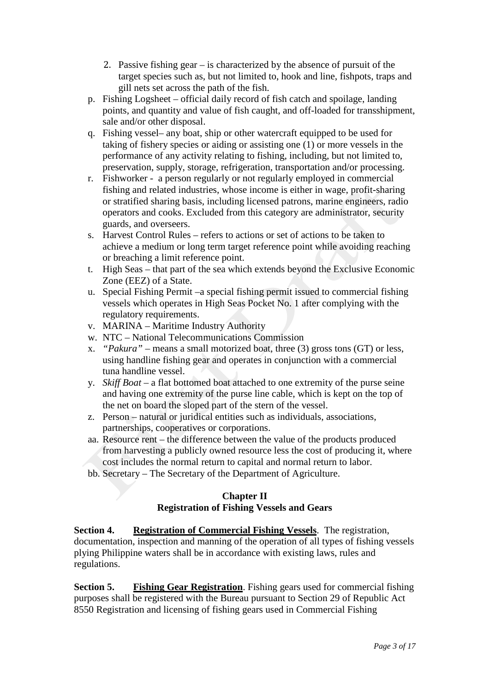- 2. Passive fishing gear is characterized by the absence of pursuit of the target species such as, but not limited to, hook and line, fishpots, traps and gill nets set across the path of the fish.
- p. Fishing Logsheet official daily record of fish catch and spoilage, landing points, and quantity and value of fish caught, and off-loaded for transshipment, sale and/or other disposal.
- q. Fishing vessel– any boat, ship or other watercraft equipped to be used for taking of fishery species or aiding or assisting one (1) or more vessels in the performance of any activity relating to fishing, including, but not limited to, preservation, supply, storage, refrigeration, transportation and/or processing.
- r. Fishworker a person regularly or not regularly employed in commercial fishing and related industries, whose income is either in wage, profit-sharing or stratified sharing basis, including licensed patrons, marine engineers, radio operators and cooks. Excluded from this category are administrator, security guards, and overseers.
- s. Harvest Control Rules refers to actions or set of actions to be taken to achieve a medium or long term target reference point while avoiding reaching or breaching a limit reference point.
- t. High Seas that part of the sea which extends beyond the Exclusive Economic Zone (EEZ) of a State.
- u. Special Fishing Permit –a special fishing permit issued to commercial fishing vessels which operates in High Seas Pocket No. 1 after complying with the regulatory requirements.
- v. MARINA Maritime Industry Authority
- w. NTC National Telecommunications Commission
- x. *"Pakura"* means a small motorized boat, three (3) gross tons (GT) or less, using handline fishing gear and operates in conjunction with a commercial tuna handline vessel.
- y. *Skiff Boat*  a flat bottomed boat attached to one extremity of the purse seine and having one extremity of the purse line cable, which is kept on the top of the net on board the sloped part of the stern of the vessel.
- z. Person natural or juridical entities such as individuals, associations, partnerships, cooperatives or corporations.
- aa. Resource rent the difference between the value of the products produced from harvesting a publicly owned resource less the cost of producing it, where cost includes the normal return to capital and normal return to labor.
- bb. Secretary The Secretary of the Department of Agriculture.

## **Chapter II Registration of Fishing Vessels and Gears**

**Section 4. Registration of Commercial Fishing Vessels**. The registration, documentation, inspection and manning of the operation of all types of fishing vessels plying Philippine waters shall be in accordance with existing laws, rules and regulations.

**Section 5. Fishing Gear Registration**. Fishing gears used for commercial fishing purposes shall be registered with the Bureau pursuant to Section 29 of Republic Act 8550 Registration and licensing of fishing gears used in Commercial Fishing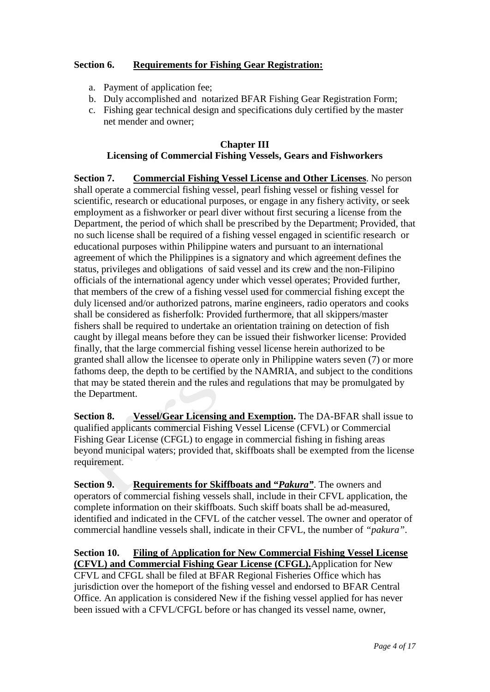# **Section 6. Requirements for Fishing Gear Registration:**

- a. Payment of application fee;
- b. Duly accomplished and notarized BFAR Fishing Gear Registration Form;
- c. Fishing gear technical design and specifications duly certified by the master net mender and owner;

### **Chapter III Licensing of Commercial Fishing Vessels, Gears and Fishworkers**

**Section 7. Commercial Fishing Vessel License and Other Licenses**. No person shall operate a commercial fishing vessel, pearl fishing vessel or fishing vessel for scientific, research or educational purposes, or engage in any fishery activity, or seek employment as a fishworker or pearl diver without first securing a license from the Department, the period of which shall be prescribed by the Department; Provided, that no such license shall be required of a fishing vessel engaged in scientific research or educational purposes within Philippine waters and pursuant to an international agreement of which the Philippines is a signatory and which agreement defines the status, privileges and obligations of said vessel and its crew and the non-Filipino officials of the international agency under which vessel operates; Provided further, that members of the crew of a fishing vessel used for commercial fishing except the duly licensed and/or authorized patrons, marine engineers, radio operators and cooks shall be considered as fisherfolk: Provided furthermore, that all skippers/master fishers shall be required to undertake an orientation training on detection of fish caught by illegal means before they can be issued their fishworker license: Provided finally, that the large commercial fishing vessel license herein authorized to be granted shall allow the licensee to operate only in Philippine waters seven (7) or more fathoms deep, the depth to be certified by the NAMRIA, and subject to the conditions that may be stated therein and the rules and regulations that may be promulgated by the Department.

**Section 8. Vessel/Gear Licensing and Exemption.** The DA-BFAR shall issue to qualified applicants commercial Fishing Vessel License (CFVL) or Commercial Fishing Gear License (CFGL) to engage in commercial fishing in fishing areas beyond municipal waters; provided that, skiffboats shall be exempted from the license requirement.

**Section 9. Requirements for Skiffboats and "***Pakura"*. The owners and operators of commercial fishing vessels shall, include in their CFVL application, the complete information on their skiffboats. Such skiff boats shall be ad-measured, identified and indicated in the CFVL of the catcher vessel. The owner and operator of commercial handline vessels shall, indicate in their CFVL, the number of *"pakura"*.

**Section 10. Filing of** A**pplication for New Commercial Fishing Vessel License (CFVL) and Commercial Fishing Gear License (CFGL).**Application for New CFVL and CFGL shall be filed at BFAR Regional Fisheries Office which has jurisdiction over the homeport of the fishing vessel and endorsed to BFAR Central Office. An application is considered New if the fishing vessel applied for has never been issued with a CFVL/CFGL before or has changed its vessel name, owner,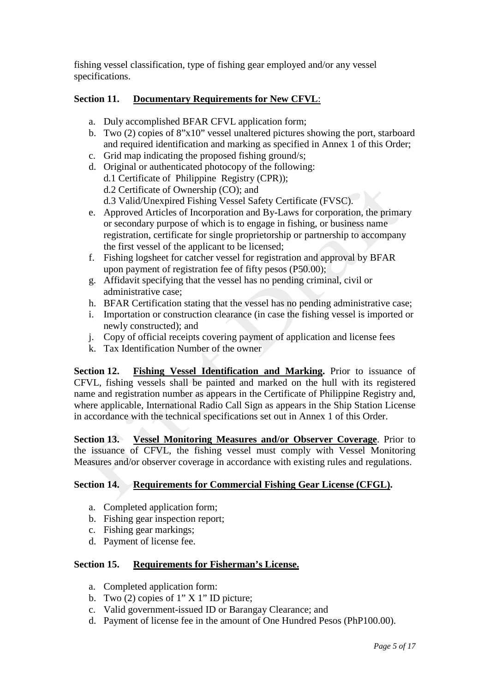fishing vessel classification, type of fishing gear employed and/or any vessel specifications.

## **Section 11. Documentary Requirements for New CFVL**:

- a. Duly accomplished BFAR CFVL application form;
- b. Two (2) copies of 8"x10" vessel unaltered pictures showing the port, starboard and required identification and marking as specified in Annex 1 of this Order;
- c. Grid map indicating the proposed fishing ground/s;
- d. Original or authenticated photocopy of the following: d.1 Certificate of Philippine Registry (CPR)); d.2 Certificate of Ownership (CO); and d.3 Valid/Unexpired Fishing Vessel Safety Certificate (FVSC).
- e. Approved Articles of Incorporation and By-Laws for corporation, the primary or secondary purpose of which is to engage in fishing, or business name registration, certificate for single proprietorship or partnership to accompany the first vessel of the applicant to be licensed;
- f. Fishing logsheet for catcher vessel for registration and approval by BFAR upon payment of registration fee of fifty pesos (P50.00);
- g. Affidavit specifying that the vessel has no pending criminal, civil or administrative case;
- h. BFAR Certification stating that the vessel has no pending administrative case;
- i. Importation or construction clearance (in case the fishing vessel is imported or newly constructed); and
- j. Copy of official receipts covering payment of application and license fees
- k. Tax Identification Number of the owner

**Section 12. Fishing Vessel Identification and Marking.** Prior to issuance of CFVL, fishing vessels shall be painted and marked on the hull with its registered name and registration number as appears in the Certificate of Philippine Registry and, where applicable, International Radio Call Sign as appears in the Ship Station License in accordance with the technical specifications set out in Annex 1 of this Order.

**Section 13. Vessel Monitoring Measures and/or Observer Coverage**. Prior to the issuance of CFVL, the fishing vessel must comply with Vessel Monitoring Measures and/or observer coverage in accordance with existing rules and regulations.

# **Section 14. Requirements for Commercial Fishing Gear License (CFGL).**

- a. Completed application form;
- b. Fishing gear inspection report;
- c. Fishing gear markings;
- d. Payment of license fee.

# **Section 15. Requirements for Fisherman's License.**

- a. Completed application form:
- b. Two  $(2)$  copies of 1" X 1" ID picture;
- c. Valid government-issued ID or Barangay Clearance; and
- d. Payment of license fee in the amount of One Hundred Pesos (PhP100.00).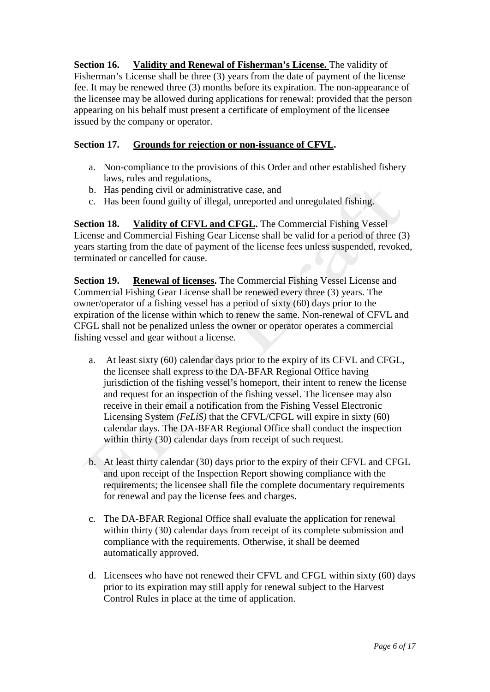**Section 16. Validity and Renewal of Fisherman's License.** The validity of Fisherman's License shall be three (3) years from the date of payment of the license fee. It may be renewed three (3) months before its expiration. The non-appearance of the licensee may be allowed during applications for renewal: provided that the person appearing on his behalf must present a certificate of employment of the licensee issued by the company or operator.

## **Section 17. Grounds for rejection or non-issuance of CFVL.**

- a. Non-compliance to the provisions of this Order and other established fishery laws, rules and regulations,
- b. Has pending civil or administrative case, and
- c. Has been found guilty of illegal, unreported and unregulated fishing.

**Section 18. Validity of CFVL and CFGL.** The Commercial Fishing Vessel License and Commercial Fishing Gear License shall be valid for a period of three (3) years starting from the date of payment of the license fees unless suspended, revoked, terminated or cancelled for cause.

**Section 19. Renewal of licenses.** The Commercial Fishing Vessel License and Commercial Fishing Gear License shall be renewed every three (3) years. The owner/operator of a fishing vessel has a period of sixty (60) days prior to the expiration of the license within which to renew the same. Non-renewal of CFVL and CFGL shall not be penalized unless the owner or operator operates a commercial fishing vessel and gear without a license.

- a. At least sixty (60) calendar days prior to the expiry of its CFVL and CFGL, the licensee shall express to the DA-BFAR Regional Office having jurisdiction of the fishing vessel's homeport, their intent to renew the license and request for an inspection of the fishing vessel. The licensee may also receive in their email a notification from the Fishing Vessel Electronic Licensing System *(FeLiS)* that the CFVL/CFGL will expire in sixty (60) calendar days. The DA-BFAR Regional Office shall conduct the inspection within thirty (30) calendar days from receipt of such request.
- b. At least thirty calendar (30) days prior to the expiry of their CFVL and CFGL and upon receipt of the Inspection Report showing compliance with the requirements; the licensee shall file the complete documentary requirements for renewal and pay the license fees and charges.
- c. The DA-BFAR Regional Office shall evaluate the application for renewal within thirty (30) calendar days from receipt of its complete submission and compliance with the requirements. Otherwise, it shall be deemed automatically approved.
- d. Licensees who have not renewed their CFVL and CFGL within sixty (60) days prior to its expiration may still apply for renewal subject to the Harvest Control Rules in place at the time of application.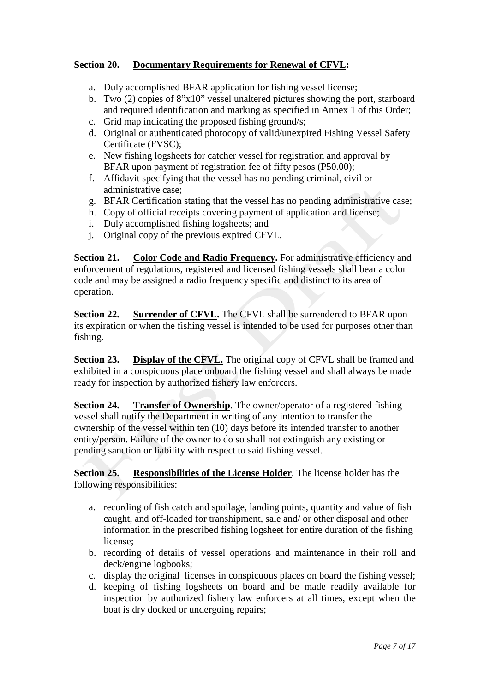# **Section 20. Documentary Requirements for Renewal of CFVL:**

- a. Duly accomplished BFAR application for fishing vessel license;
- b. Two (2) copies of 8"x10" vessel unaltered pictures showing the port, starboard and required identification and marking as specified in Annex 1 of this Order;
- c. Grid map indicating the proposed fishing ground/s;
- d. Original or authenticated photocopy of valid/unexpired Fishing Vessel Safety Certificate (FVSC);
- e. New fishing logsheets for catcher vessel for registration and approval by BFAR upon payment of registration fee of fifty pesos (P50.00);
- f. Affidavit specifying that the vessel has no pending criminal, civil or administrative case;
- g. BFAR Certification stating that the vessel has no pending administrative case;
- h. Copy of official receipts covering payment of application and license;
- i. Duly accomplished fishing logsheets; and
- j. Original copy of the previous expired CFVL.

**Section 21. Color Code and Radio Frequency.** For administrative efficiency and enforcement of regulations, registered and licensed fishing vessels shall bear a color code and may be assigned a radio frequency specific and distinct to its area of operation.

**Section 22. Surrender of CFVL.** The CFVL shall be surrendered to BFAR upon its expiration or when the fishing vessel is intended to be used for purposes other than fishing.

**Section 23. Display of the CFVL.** The original copy of CFVL shall be framed and exhibited in a conspicuous place onboard the fishing vessel and shall always be made ready for inspection by authorized fishery law enforcers.

**Section 24. Transfer of Ownership**. The owner/operator of a registered fishing vessel shall notify the Department in writing of any intention to transfer the ownership of the vessel within ten (10) days before its intended transfer to another entity/person. Failure of the owner to do so shall not extinguish any existing or pending sanction or liability with respect to said fishing vessel.

**Section 25. Responsibilities of the License Holder**. The license holder has the following responsibilities:

- a. recording of fish catch and spoilage, landing points, quantity and value of fish caught, and off-loaded for transhipment, sale and/ or other disposal and other information in the prescribed fishing logsheet for entire duration of the fishing license;
- b. recording of details of vessel operations and maintenance in their roll and deck/engine logbooks;
- c. display the original licenses in conspicuous places on board the fishing vessel;
- d. keeping of fishing logsheets on board and be made readily available for inspection by authorized fishery law enforcers at all times, except when the boat is dry docked or undergoing repairs;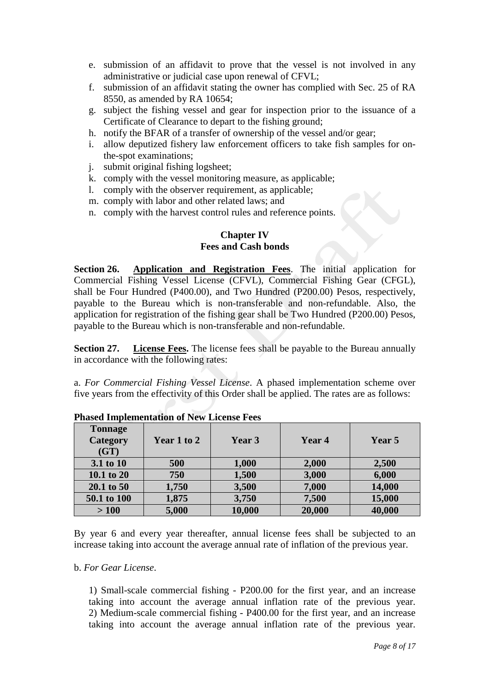- e. submission of an affidavit to prove that the vessel is not involved in any administrative or judicial case upon renewal of CFVL;
- f. submission of an affidavit stating the owner has complied with Sec. 25 of RA 8550, as amended by RA 10654;
- g. subject the fishing vessel and gear for inspection prior to the issuance of a Certificate of Clearance to depart to the fishing ground;
- h. notify the BFAR of a transfer of ownership of the vessel and/or gear;
- i. allow deputized fishery law enforcement officers to take fish samples for onthe-spot examinations;
- j. submit original fishing logsheet;
- k. comply with the vessel monitoring measure, as applicable;
- l. comply with the observer requirement, as applicable;
- m. comply with labor and other related laws; and
- n. comply with the harvest control rules and reference points.

### **Chapter IV Fees and Cash bonds**

**Section 26. Application and Registration Fees**. The initial application for Commercial Fishing Vessel License (CFVL), Commercial Fishing Gear (CFGL), shall be Four Hundred (P400.00), and Two Hundred (P200.00) Pesos, respectively, payable to the Bureau which is non-transferable and non-refundable. Also, the application for registration of the fishing gear shall be Two Hundred (P200.00) Pesos, payable to the Bureau which is non-transferable and non-refundable.

**Section 27. License Fees.** The license fees shall be payable to the Bureau annually in accordance with the following rates:

a. *For Commercial Fishing Vessel License*. A phased implementation scheme over five years from the effectivity of this Order shall be applied. The rates are as follows:

| <b>Tonnage</b><br><b>Category</b><br>(GT) | Year 1 to 2 | Year 3 | Year 4 | Year 5 |
|-------------------------------------------|-------------|--------|--------|--------|
| 3.1 to 10                                 | 500         | 1,000  | 2,000  | 2,500  |
| 10.1 to 20                                | 750         | 1,500  | 3,000  | 6,000  |
| 20.1 to 50                                | 1,750       | 3,500  | 7,000  | 14,000 |
| 50.1 to 100                               | 1,875       | 3,750  | 7,500  | 15,000 |
| >100                                      | 5,000       | 10,000 | 20,000 | 40,000 |

**Phased Implementation of New License Fees**

By year 6 and every year thereafter, annual license fees shall be subjected to an increase taking into account the average annual rate of inflation of the previous year.

#### b. *For Gear License*.

1) Small-scale commercial fishing - P200.00 for the first year, and an increase taking into account the average annual inflation rate of the previous year. 2) Medium-scale commercial fishing - P400.00 for the first year, and an increase taking into account the average annual inflation rate of the previous year.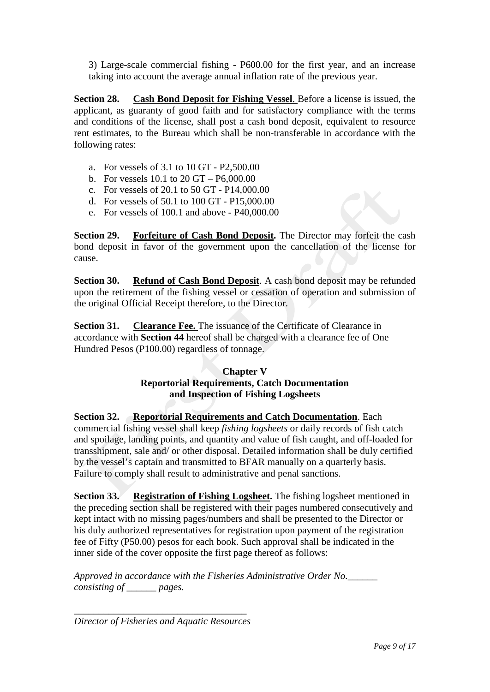3) Large-scale commercial fishing - P600.00 for the first year, and an increase taking into account the average annual inflation rate of the previous year.

**Section 28. Cash Bond Deposit for Fishing Vessel**. Before a license is issued, the applicant, as guaranty of good faith and for satisfactory compliance with the terms and conditions of the license, shall post a cash bond deposit, equivalent to resource rent estimates, to the Bureau which shall be non-transferable in accordance with the following rates:

- a. For vessels of 3.1 to 10 GT P2,500.00
- b. For vessels 10.1 to 20 GT P6,000.00
- c. For vessels of 20.1 to 50 GT P14,000.00
- d. For vessels of 50.1 to 100 GT P15,000.00
- e. For vessels of 100.1 and above P40,000.00

**Section 29. Forfeiture of Cash Bond Deposit.** The Director may forfeit the cash bond deposit in favor of the government upon the cancellation of the license for cause.

**Section 30. Refund of Cash Bond Deposit**. A cash bond deposit may be refunded upon the retirement of the fishing vessel or cessation of operation and submission of the original Official Receipt therefore, to the Director.

**Section 31. Clearance Fee.** The issuance of the Certificate of Clearance in accordance with **Section 44** hereof shall be charged with a clearance fee of One Hundred Pesos (P100.00) regardless of tonnage.

## **Chapter V Reportorial Requirements, Catch Documentation and Inspection of Fishing Logsheets**

**Section 32. Reportorial Requirements and Catch Documentation**. Each commercial fishing vessel shall keep *fishing logsheets* or daily records of fish catch and spoilage, landing points, and quantity and value of fish caught, and off-loaded for transshipment, sale and/ or other disposal. Detailed information shall be duly certified by the vessel's captain and transmitted to BFAR manually on a quarterly basis. Failure to comply shall result to administrative and penal sanctions.

**Section 33. Registration of Fishing Logsheet.** The fishing logsheet mentioned in the preceding section shall be registered with their pages numbered consecutively and kept intact with no missing pages/numbers and shall be presented to the Director or his duly authorized representatives for registration upon payment of the registration fee of Fifty (P50.00) pesos for each book. Such approval shall be indicated in the inner side of the cover opposite the first page thereof as follows:

*Approved in accordance with the Fisheries Administrative Order No.\_\_\_\_\_\_ consisting of \_\_\_\_\_\_ pages.*

*\_\_\_\_\_\_\_\_\_\_\_\_\_\_\_\_\_\_\_\_\_\_\_\_\_\_\_\_\_\_\_\_\_\_\_ Director of Fisheries and Aquatic Resources*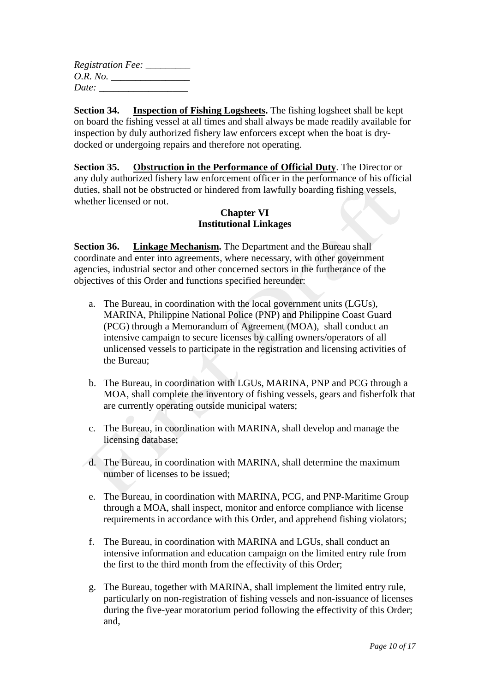| <i>Registration Fee:</i> |
|--------------------------|
| <i>O.R. No.</i>          |
| Date:                    |

**Section 34. Inspection of Fishing Logsheets.** The fishing logsheet shall be kept on board the fishing vessel at all times and shall always be made readily available for inspection by duly authorized fishery law enforcers except when the boat is drydocked or undergoing repairs and therefore not operating.

**Section 35. Obstruction in the Performance of Official Duty**. The Director or any duly authorized fishery law enforcement officer in the performance of his official duties, shall not be obstructed or hindered from lawfully boarding fishing vessels, whether licensed or not.

## **Chapter VI Institutional Linkages**

**Section 36. Linkage Mechanism.** The Department and the Bureau shall coordinate and enter into agreements, where necessary, with other government agencies, industrial sector and other concerned sectors in the furtherance of the objectives of this Order and functions specified hereunder:

- a. The Bureau, in coordination with the local government units (LGUs), MARINA, Philippine National Police (PNP) and Philippine Coast Guard (PCG) through a Memorandum of Agreement (MOA), shall conduct an intensive campaign to secure licenses by calling owners/operators of all unlicensed vessels to participate in the registration and licensing activities of the Bureau;
- b. The Bureau, in coordination with LGUs, MARINA, PNP and PCG through a MOA, shall complete the inventory of fishing vessels, gears and fisherfolk that are currently operating outside municipal waters;
- c. The Bureau, in coordination with MARINA, shall develop and manage the licensing database;
- d. The Bureau, in coordination with MARINA, shall determine the maximum number of licenses to be issued;
- e. The Bureau, in coordination with MARINA, PCG, and PNP-Maritime Group through a MOA, shall inspect, monitor and enforce compliance with license requirements in accordance with this Order, and apprehend fishing violators;
- f. The Bureau, in coordination with MARINA and LGUs, shall conduct an intensive information and education campaign on the limited entry rule from the first to the third month from the effectivity of this Order;
- g. The Bureau, together with MARINA, shall implement the limited entry rule, particularly on non-registration of fishing vessels and non-issuance of licenses during the five-year moratorium period following the effectivity of this Order; and,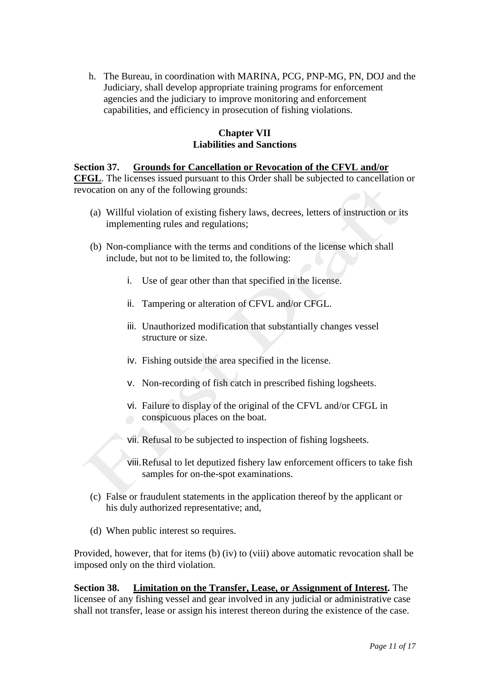h. The Bureau, in coordination with MARINA, PCG, PNP-MG, PN, DOJ and the Judiciary, shall develop appropriate training programs for enforcement agencies and the judiciary to improve monitoring and enforcement capabilities, and efficiency in prosecution of fishing violations.

## **Chapter VII Liabilities and Sanctions**

### **Section 37. Grounds for Cancellation or Revocation of the CFVL and/or CFGL**. The licenses issued pursuant to this Order shall be subjected to cancellation or revocation on any of the following grounds:

- (a) Willful violation of existing fishery laws, decrees, letters of instruction or its implementing rules and regulations;
- (b) Non-compliance with the terms and conditions of the license which shall include, but not to be limited to, the following:
	- i. Use of gear other than that specified in the license.
	- ii. Tampering or alteration of CFVL and/or CFGL.
	- iii. Unauthorized modification that substantially changes vessel structure or size.
	- iv. Fishing outside the area specified in the license.
	- v. Non-recording of fish catch in prescribed fishing logsheets.
	- vi. Failure to display of the original of the CFVL and/or CFGL in conspicuous places on the boat.
	- vii. Refusal to be subjected to inspection of fishing logsheets.
	- viii.Refusal to let deputized fishery law enforcement officers to take fish samples for on-the-spot examinations.
- (c) False or fraudulent statements in the application thereof by the applicant or his duly authorized representative; and,
- (d) When public interest so requires.

Provided, however, that for items (b) (iv) to (viii) above automatic revocation shall be imposed only on the third violation.

**Section 38. Limitation on the Transfer, Lease, or Assignment of Interest.** The licensee of any fishing vessel and gear involved in any judicial or administrative case shall not transfer, lease or assign his interest thereon during the existence of the case.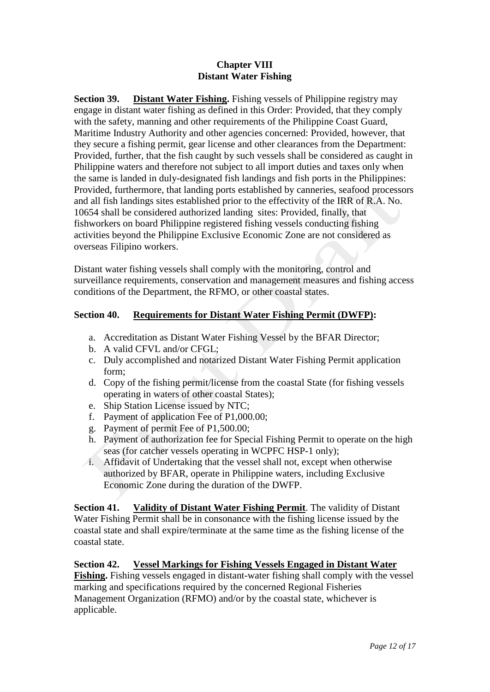## **Chapter VIII Distant Water Fishing**

**Section 39. Distant Water Fishing.** Fishing vessels of Philippine registry may engage in distant water fishing as defined in this Order: Provided, that they comply with the safety, manning and other requirements of the Philippine Coast Guard, Maritime Industry Authority and other agencies concerned: Provided, however, that they secure a fishing permit, gear license and other clearances from the Department: Provided, further, that the fish caught by such vessels shall be considered as caught in Philippine waters and therefore not subject to all import duties and taxes only when the same is landed in duly-designated fish landings and fish ports in the Philippines: Provided, furthermore, that landing ports established by canneries, seafood processors and all fish landings sites established prior to the effectivity of the IRR of R.A. No. 10654 shall be considered authorized landing sites: Provided, finally, that fishworkers on board Philippine registered fishing vessels conducting fishing activities beyond the Philippine Exclusive Economic Zone are not considered as overseas Filipino workers.

Distant water fishing vessels shall comply with the monitoring, control and surveillance requirements, conservation and management measures and fishing access conditions of the Department, the RFMO, or other coastal states.

# **Section 40. Requirements for Distant Water Fishing Permit (DWFP):**

- a. Accreditation as Distant Water Fishing Vessel by the BFAR Director;
- b. A valid CFVL and/or CFGL;
- c. Duly accomplished and notarized Distant Water Fishing Permit application form;
- d. Copy of the fishing permit/license from the coastal State (for fishing vessels operating in waters of other coastal States);
- e. Ship Station License issued by NTC;
- f. Payment of application Fee of P1,000.00;
- g. Payment of permit Fee of P1,500.00;
- h. Payment of authorization fee for Special Fishing Permit to operate on the high seas (for catcher vessels operating in WCPFC HSP-1 only);
- i. Affidavit of Undertaking that the vessel shall not, except when otherwise authorized by BFAR, operate in Philippine waters, including Exclusive Economic Zone during the duration of the DWFP.

**Section 41. Validity of Distant Water Fishing Permit**. The validity of Distant Water Fishing Permit shall be in consonance with the fishing license issued by the coastal state and shall expire/terminate at the same time as the fishing license of the coastal state.

## **Section 42. Vessel Markings for Fishing Vessels Engaged in Distant Water**

**Fishing.** Fishing vessels engaged in distant-water fishing shall comply with the vessel marking and specifications required by the concerned Regional Fisheries Management Organization (RFMO) and/or by the coastal state, whichever is applicable.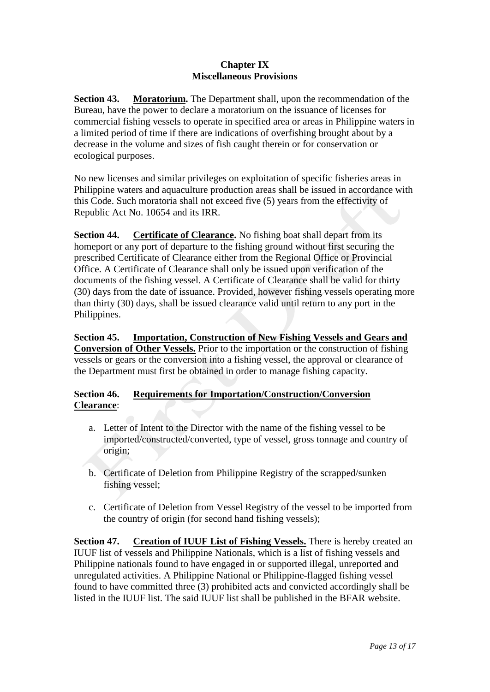### **Chapter IX Miscellaneous Provisions**

**Section 43. Moratorium.** The Department shall, upon the recommendation of the Bureau, have the power to declare a moratorium on the issuance of licenses for commercial fishing vessels to operate in specified area or areas in Philippine waters in a limited period of time if there are indications of overfishing brought about by a decrease in the volume and sizes of fish caught therein or for conservation or ecological purposes.

No new licenses and similar privileges on exploitation of specific fisheries areas in Philippine waters and aquaculture production areas shall be issued in accordance with this Code. Such moratoria shall not exceed five (5) years from the effectivity of Republic Act No. 10654 and its IRR.

**Section 44.** Certificate of Clearance. No fishing boat shall depart from its homeport or any port of departure to the fishing ground without first securing the prescribed Certificate of Clearance either from the Regional Office or Provincial Office. A Certificate of Clearance shall only be issued upon verification of the documents of the fishing vessel. A Certificate of Clearance shall be valid for thirty (30) days from the date of issuance. Provided, however fishing vessels operating more than thirty (30) days, shall be issued clearance valid until return to any port in the Philippines.

**Section 45. Importation, Construction of New Fishing Vessels and Gears and Conversion of Other Vessels.** Prior to the importation or the construction of fishing vessels or gears or the conversion into a fishing vessel, the approval or clearance of the Department must first be obtained in order to manage fishing capacity.

## **Section 46. Requirements for Importation/Construction/Conversion Clearance**:

- a. Letter of Intent to the Director with the name of the fishing vessel to be imported/constructed/converted, type of vessel, gross tonnage and country of origin;
- b. Certificate of Deletion from Philippine Registry of the scrapped/sunken fishing vessel;
- c. Certificate of Deletion from Vessel Registry of the vessel to be imported from the country of origin (for second hand fishing vessels);

**Section 47. Creation of IUUF List of Fishing Vessels.** There is hereby created an IUUF list of vessels and Philippine Nationals, which is a list of fishing vessels and Philippine nationals found to have engaged in or supported illegal, unreported and unregulated activities. A Philippine National or Philippine-flagged fishing vessel found to have committed three (3) prohibited acts and convicted accordingly shall be listed in the IUUF list. The said IUUF list shall be published in the BFAR website.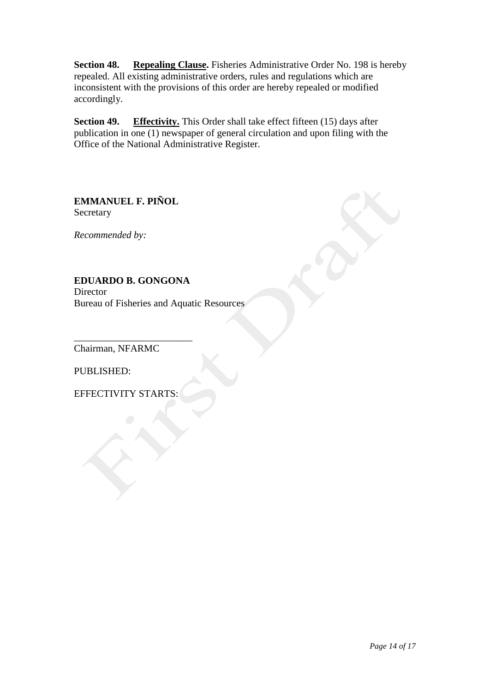**Section 48. Repealing Clause.** Fisheries Administrative Order No. 198 is hereby repealed. All existing administrative orders, rules and regulations which are inconsistent with the provisions of this order are hereby repealed or modified accordingly.

**Section 49. Effectivity.** This Order shall take effect fifteen (15) days after publication in one (1) newspaper of general circulation and upon filing with the Office of the National Administrative Register.

**EMMANUEL F. PIÑOL** Secretary

*Recommended by:*

**EDUARDO B. GONGONA Director** Bureau of Fisheries and Aquatic Resources

Chairman, NFARMC

\_\_\_\_\_\_\_\_\_\_\_\_\_\_\_\_\_\_\_\_\_\_\_\_

PUBLISHED:

EFFECTIVITY STARTS: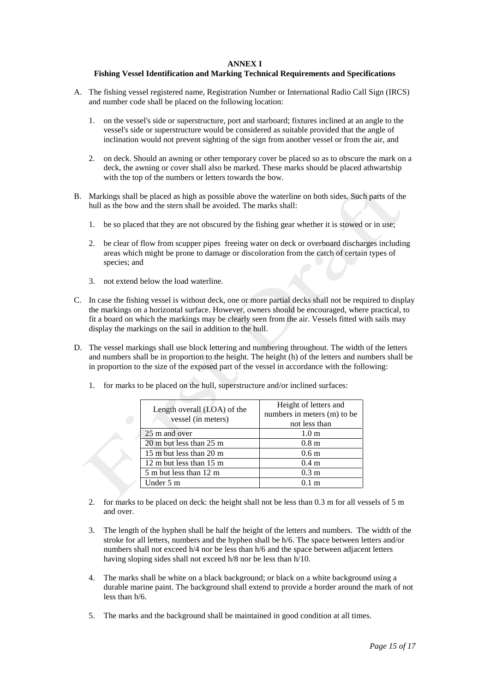#### **ANNEX I**

#### **Fishing Vessel Identification and Marking Technical Requirements and Specifications**

- A. The fishing vessel registered name, Registration Number or International Radio Call Sign (IRCS) and number code shall be placed on the following location:
	- 1. on the vessel's side or superstructure, port and starboard; fixtures inclined at an angle to the vessel's side or superstructure would be considered as suitable provided that the angle of inclination would not prevent sighting of the sign from another vessel or from the air, and
	- 2. on deck. Should an awning or other temporary cover be placed so as to obscure the mark on a deck, the awning or cover shall also be marked. These marks should be placed athwartship with the top of the numbers or letters towards the bow.
- B. Markings shall be placed as high as possible above the waterline on both sides. Such parts of the hull as the bow and the stern shall be avoided. The marks shall:
	- 1. be so placed that they are not obscured by the fishing gear whether it is stowed or in use;
	- 2. be clear of flow from scupper pipes freeing water on deck or overboard discharges including areas which might be prone to damage or discoloration from the catch of certain types of species; and
	- 3. not extend below the load waterline.
- C. In case the fishing vessel is without deck, one or more partial decks shall not be required to display the markings on a horizontal surface. However, owners should be encouraged, where practical, to fit a board on which the markings may be clearly seen from the air. Vessels fitted with sails may display the markings on the sail in addition to the hull.
- D. The vessel markings shall use block lettering and numbering throughout. The width of the letters and numbers shall be in proportion to the height. The height (h) of the letters and numbers shall be in proportion to the size of the exposed part of the vessel in accordance with the following:
	- 1. for marks to be placed on the hull, superstructure and/or inclined surfaces:

| Length overall (LOA) of the<br>vessel (in meters) | Height of letters and<br>numbers in meters (m) to be<br>not less than |  |
|---------------------------------------------------|-----------------------------------------------------------------------|--|
| 25 m and over                                     | 1.0 <sub>m</sub>                                                      |  |
| 20 m but less than 25 m                           | 0.8 <sub>m</sub>                                                      |  |
| 15 m but less than 20 m                           | 0.6 <sub>m</sub>                                                      |  |
| 12 m but less than 15 m                           | 0.4 <sub>m</sub>                                                      |  |
| 5 m but less than 12 m                            | 0.3 <sub>m</sub>                                                      |  |
| Under 5 m                                         | 01 <sub>m</sub>                                                       |  |

- 2. for marks to be placed on deck: the height shall not be less than 0.3 m for all vessels of 5 m and over.
- 3. The length of the hyphen shall be half the height of the letters and numbers. The width of the stroke for all letters, numbers and the hyphen shall be h/6. The space between letters and/or numbers shall not exceed h/4 nor be less than h/6 and the space between adjacent letters having sloping sides shall not exceed h/8 nor be less than h/10.
- 4. The marks shall be white on a black background; or black on a white background using a durable marine paint. The background shall extend to provide a border around the mark of not less than h/6.
- 5. The marks and the background shall be maintained in good condition at all times.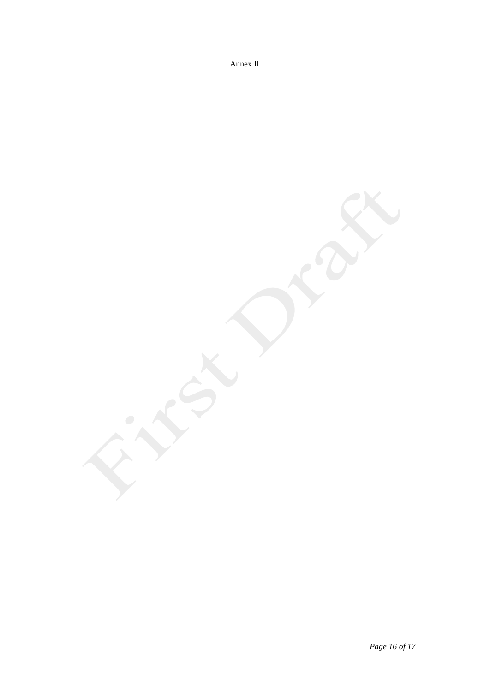Annex II